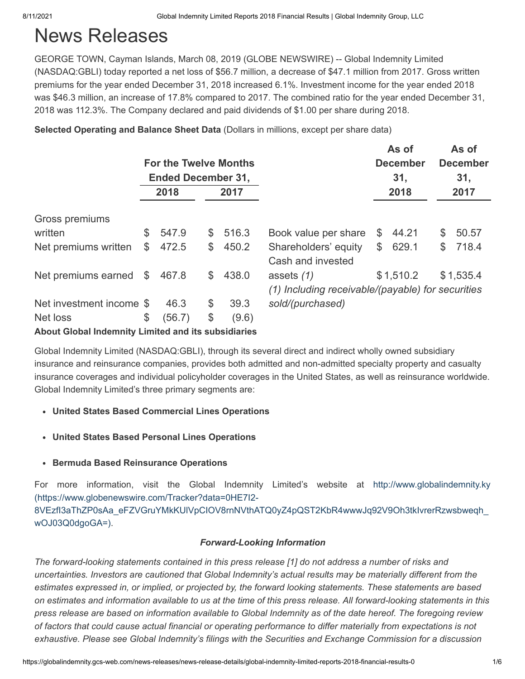# News Releases

GEORGE TOWN, Cayman Islands, March 08, 2019 (GLOBE NEWSWIRE) -- Global Indemnity Limited (NASDAQ:GBLI) today reported a net loss of \$56.7 million, a decrease of \$47.1 million from 2017. Gross written premiums for the year ended December 31, 2018 increased 6.1%. Investment income for the year ended 2018 was \$46.3 million, an increase of 17.8% compared to 2017. The combined ratio for the year ended December 31, 2018 was 112.3%. The Company declared and paid dividends of \$1.00 per share during 2018.

**Selected Operating and Balance Sheet Data** (Dollars in millions, except per share data)

|                          |    | <b>For the Twelve Months</b><br><b>Ended December 31,</b> |              |       |                                                                   | As of<br><b>December</b><br>31, |             | As of<br><b>December</b><br>31, |
|--------------------------|----|-----------------------------------------------------------|--------------|-------|-------------------------------------------------------------------|---------------------------------|-------------|---------------------------------|
|                          |    | 2018                                                      |              | 2017  |                                                                   | 2018                            |             | 2017                            |
| Gross premiums           |    |                                                           |              |       |                                                                   |                                 |             |                                 |
| written                  | S  | 547.9                                                     | \$           | 516.3 | Book value per share                                              | \$<br>44.21                     | \$          | 50.57                           |
| Net premiums written     | \$ | 472.5                                                     | \$           | 450.2 | Shareholders' equity<br>Cash and invested                         | \$<br>629.1                     | $\mathbb S$ | 718.4                           |
| Net premiums earned      | \$ | 467.8                                                     | $\mathbb{S}$ | 438.0 | assets $(1)$<br>(1) Including receivable/(payable) for securities | \$1,510.2                       |             | \$1,535.4                       |
| Net investment income \$ |    | 46.3                                                      | \$           | 39.3  | sold/(purchased)                                                  |                                 |             |                                 |
| Net loss                 | \$ | (56.7)                                                    | \$           | (9.6) |                                                                   |                                 |             |                                 |

**About Global Indemnity Limited and its subsidiaries**

Global Indemnity Limited (NASDAQ:GBLI), through its several direct and indirect wholly owned subsidiary insurance and reinsurance companies, provides both admitted and non-admitted specialty property and casualty insurance coverages and individual policyholder coverages in the United States, as well as reinsurance worldwide. Global Indemnity Limited's three primary segments are:

## **United States Based Commercial Lines Operations**

- **United States Based Personal Lines Operations**
- **Bermuda Based Reinsurance Operations**

For more information, visit the Global Indemnity Limited's website at http://www.globalindemnity.ky (https://www.globenewswire.com/Tracker?data=0HE7I2- [8VEzfI3aThZP0sAa\\_eFZVGruYMkKUlVpCIOV8rnNVthATQ0yZ4pQST2KbR4wwwJq92V9Oh3tkIvrerRzwsbweqh\\_](https://www.globenewswire.com/Tracker?data=0HE7I2-8VEzfI3aThZP0sAa_eFZVGruYMkKUlVpCIOV8rnNVthATQ0yZ4pQST2KbR4wwwJq92V9Oh3tkIvrerRzwsbweqh_wOJ03Q0dgoGA=) wOJ03Q0dgoGA=).

## *Forward-Looking Information*

*The forward-looking statements contained in this press release [1] do not address a number of risks and uncertainties. Investors are cautioned that Global Indemnity's actual results may be materially different from the estimates expressed in, or implied, or projected by, the forward looking statements. These statements are based on estimates and information available to us at the time of this press release. All forward-looking statements in this press release are based on information available to Global Indemnity as of the date hereof. The foregoing review of factors that could cause actual financial or operating performance to differ materially from expectations is not exhaustive. Please see Global Indemnity's filings with the Securities and Exchange Commission for a discussion*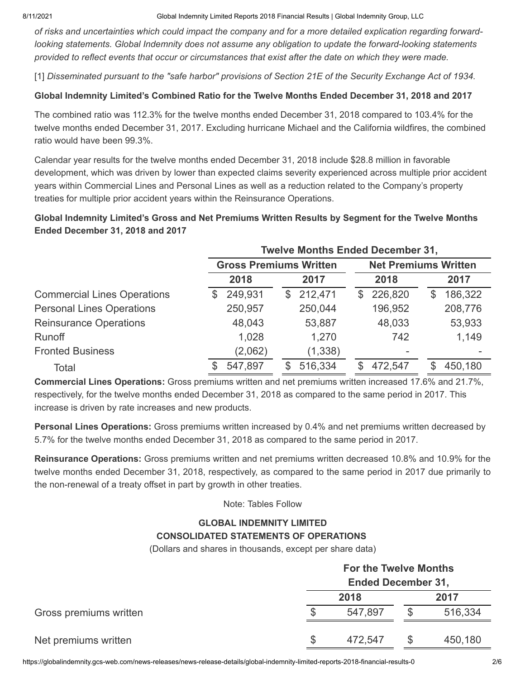8/11/2021 Global Indemnity Limited Reports 2018 Financial Results | Global Indemnity Group, LLC

*of risks and uncertainties which could impact the company and for a more detailed explication regarding forwardlooking statements. Global Indemnity does not assume any obligation to update the forward-looking statements provided to reflect events that occur or circumstances that exist after the date on which they were made.*

[1] *Disseminated pursuant to the "safe harbor" provisions of Section 21E of the Security Exchange Act of 1934.*

### **Global Indemnity Limited's Combined Ratio for the Twelve Months Ended December 31, 2018 and 2017**

The combined ratio was 112.3% for the twelve months ended December 31, 2018 compared to 103.4% for the twelve months ended December 31, 2017. Excluding hurricane Michael and the California wildfires, the combined ratio would have been 99.3%.

Calendar year results for the twelve months ended December 31, 2018 include \$28.8 million in favorable development, which was driven by lower than expected claims severity experienced across multiple prior accident years within Commercial Lines and Personal Lines as well as a reduction related to the Company's property treaties for multiple prior accident years within the Reinsurance Operations.

## **Global Indemnity Limited's Gross and Net Premiums Written Results by Segment for the Twelve Months Ended December 31, 2018 and 2017**

|                                    | <b>Twelve Months Ended December 31,</b> |                               |                             |               |  |  |
|------------------------------------|-----------------------------------------|-------------------------------|-----------------------------|---------------|--|--|
|                                    |                                         | <b>Gross Premiums Written</b> | <b>Net Premiums Written</b> |               |  |  |
|                                    | 2018                                    | 2017                          | 2018                        | 2017          |  |  |
| <b>Commercial Lines Operations</b> | 249,931<br>\$                           | \$212,471                     | 226,820<br>\$               | 186,322<br>\$ |  |  |
| <b>Personal Lines Operations</b>   | 250,957                                 | 250,044                       | 196,952                     | 208,776       |  |  |
| <b>Reinsurance Operations</b>      | 48,043                                  | 53,887                        | 48,033                      | 53,933        |  |  |
| <b>Runoff</b>                      | 1,028                                   | 1,270                         | 742                         | 1,149         |  |  |
| <b>Fronted Business</b>            | (2,062)                                 | (1, 338)                      | ۰                           |               |  |  |
| Total                              | 547,897                                 | 516,334<br>\$.                | 472,547<br>\$.              | 450,180       |  |  |

**Commercial Lines Operations:** Gross premiums written and net premiums written increased 17.6% and 21.7%, respectively, for the twelve months ended December 31, 2018 as compared to the same period in 2017. This increase is driven by rate increases and new products.

**Personal Lines Operations:** Gross premiums written increased by 0.4% and net premiums written decreased by 5.7% for the twelve months ended December 31, 2018 as compared to the same period in 2017.

**Reinsurance Operations:** Gross premiums written and net premiums written decreased 10.8% and 10.9% for the twelve months ended December 31, 2018, respectively, as compared to the same period in 2017 due primarily to the non-renewal of a treaty offset in part by growth in other treaties.

Note: Tables Follow

#### **GLOBAL INDEMNITY LIMITED CONSOLIDATED STATEMENTS OF OPERATIONS**

(Dollars and shares in thousands, except per share data)

|                        |  | <b>For the Twelve Months</b><br><b>Ended December 31,</b> |  |         |  |  |
|------------------------|--|-----------------------------------------------------------|--|---------|--|--|
|                        |  |                                                           |  |         |  |  |
|                        |  | 2018                                                      |  | 2017    |  |  |
| Gross premiums written |  | 547,897                                                   |  | 516,334 |  |  |
| Net premiums written   |  | 472,547                                                   |  | 450,180 |  |  |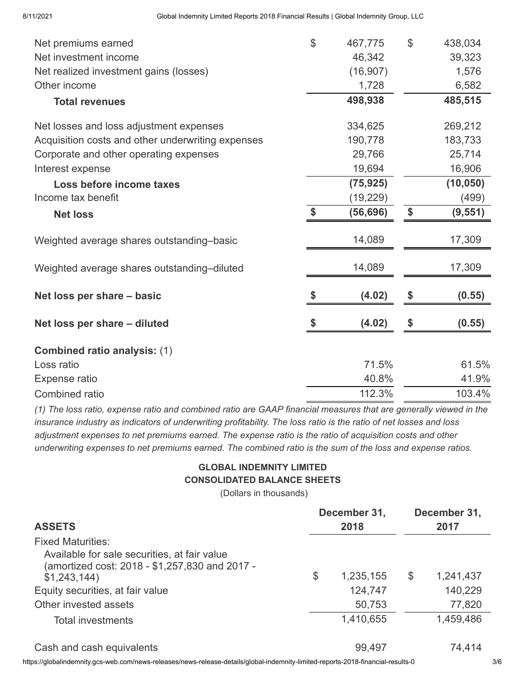| Net premiums earned                               | $\mathcal{L}$ | 467,775   | $\mathcal{L}$ | 438,034   |
|---------------------------------------------------|---------------|-----------|---------------|-----------|
| Net investment income                             |               | 46,342    |               | 39,323    |
| Net realized investment gains (losses)            |               | (16, 907) |               | 1,576     |
| Other income                                      |               | 1,728     |               | 6,582     |
| <b>Total revenues</b>                             |               | 498,938   |               | 485,515   |
| Net losses and loss adjustment expenses           |               | 334,625   |               | 269,212   |
| Acquisition costs and other underwriting expenses |               | 190,778   |               | 183,733   |
| Corporate and other operating expenses            |               | 29,766    |               | 25,714    |
| Interest expense                                  |               | 19,694    |               | 16,906    |
| Loss before income taxes                          |               | (75, 925) |               | (10, 050) |
| Income tax benefit                                |               | (19, 229) |               | (499)     |
| <b>Net loss</b>                                   | \$            | (56, 696) | \$            | (9, 551)  |
| Weighted average shares outstanding-basic         |               | 14,089    |               | 17,309    |
| Weighted average shares outstanding-diluted       |               | 14,089    |               | 17,309    |
| Net loss per share - basic                        |               | (4.02)    | \$            | (0.55)    |
| Net loss per share - diluted                      |               | (4.02)    | \$            | (0.55)    |
| <b>Combined ratio analysis: (1)</b>               |               |           |               |           |
| Loss ratio                                        |               | 71.5%     |               | 61.5%     |
| Expense ratio                                     |               | 40.8%     |               | 41.9%     |
| <b>Combined ratio</b>                             |               | 112.3%    |               | 103.4%    |

*(1) The loss ratio, expense ratio and combined ratio are GAAP financial measures that are generally viewed in the insurance industry as indicators of underwriting profitability. The loss ratio is the ratio of net losses and loss adjustment expenses to net premiums earned. The expense ratio is the ratio of acquisition costs and other underwriting expenses to net premiums earned. The combined ratio is the sum of the loss and expense ratios.*

# **GLOBAL INDEMNITY LIMITED CONSOLIDATED BALANCE SHEETS**

(Dollars in thousands)

|                                                                                                                            | December 31,    | December 31, |           |  |
|----------------------------------------------------------------------------------------------------------------------------|-----------------|--------------|-----------|--|
| <b>ASSETS</b>                                                                                                              | 2018            | 2017         |           |  |
| <b>Fixed Maturities:</b><br>Available for sale securities, at fair value<br>(amortized cost: 2018 - \$1,257,830 and 2017 - |                 |              |           |  |
| \$1,243,144)                                                                                                               | \$<br>1,235,155 | \$           | 1,241,437 |  |
| Equity securities, at fair value                                                                                           | 124,747         |              | 140,229   |  |
| Other invested assets                                                                                                      | 50,753          |              | 77,820    |  |
| <b>Total investments</b>                                                                                                   | 1,410,655       |              | 1,459,486 |  |
| Cash and cash equivalents                                                                                                  | 99,497          |              | 74,414    |  |

https://globalindemnity.gcs-web.com/news-releases/news-release-details/global-indemnity-limited-reports-2018-financial-results-0 3/6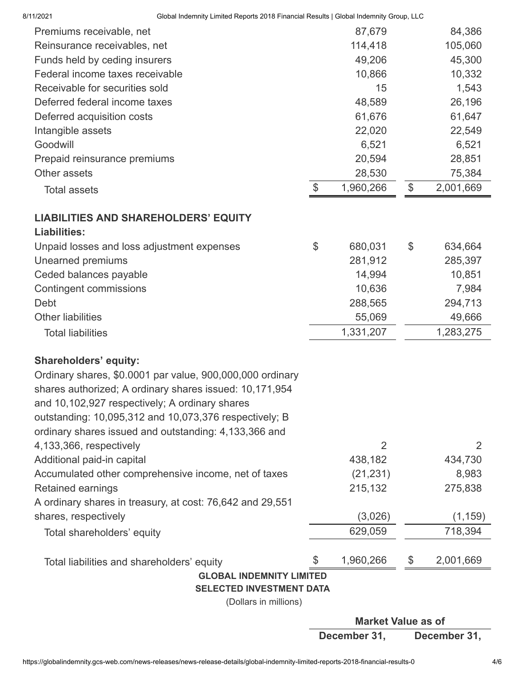| 8/11/2021                      | Global Indemnity Limited Reports 2018 Financial Results   Global Indemnity Group, LLC |       |           |                 |
|--------------------------------|---------------------------------------------------------------------------------------|-------|-----------|-----------------|
| Premiums receivable, net       |                                                                                       |       | 87,679    | 84,386          |
| Reinsurance receivables, net   |                                                                                       |       | 114,418   | 105,060         |
| Funds held by ceding insurers  |                                                                                       |       | 49,206    | 45,300          |
|                                | Federal income taxes receivable                                                       |       | 10,866    | 10,332          |
| Receivable for securities sold |                                                                                       |       | 15        | 1,543           |
| Deferred federal income taxes  |                                                                                       |       | 48,589    | 26,196          |
| Deferred acquisition costs     |                                                                                       |       | 61,676    | 61,647          |
| Intangible assets              |                                                                                       |       | 22,020    | 22,549          |
| Goodwill                       |                                                                                       |       | 6,521     | 6,521           |
| Prepaid reinsurance premiums   |                                                                                       |       | 20,594    | 28,851          |
| Other assets                   |                                                                                       |       | 28,530    | 75,384          |
| <b>Total assets</b>            |                                                                                       | $\$\$ | 1,960,266 | \$<br>2,001,669 |
|                                | <b>LIABILITIES AND SHAREHOLDERS' EQUITY</b>                                           |       |           |                 |
| <b>Liabilities:</b>            |                                                                                       |       |           |                 |
|                                | Unpaid losses and loss adjustment expenses                                            | \$    | 680,031   | \$<br>634,664   |
| Unearned premiums              |                                                                                       |       | 281,912   | 285,397         |
| Ceded balances payable         |                                                                                       |       | 14,994    | 10,851          |
| <b>Contingent commissions</b>  |                                                                                       |       | 10,636    | 7,984           |
| Debt                           |                                                                                       |       | 288,565   | 294,713         |
| <b>Other liabilities</b>       |                                                                                       |       | 55,069    | 49,666          |
| <b>Total liabilities</b>       |                                                                                       |       | 1,331,207 | 1,283,275       |
| <b>Shareholders' equity:</b>   |                                                                                       |       |           |                 |
|                                | Ordinary shares, \$0.0001 par value, 900,000,000 ordinary                             |       |           |                 |
|                                | shares authorized; A ordinary shares issued: 10,171,954                               |       |           |                 |
|                                | and 10,102,927 respectively; A ordinary shares                                        |       |           |                 |
|                                | outstanding: 10,095,312 and 10,073,376 respectively; B                                |       |           |                 |
|                                | ordinary shares issued and outstanding: 4,133,366 and                                 |       |           |                 |
| 4,133,366, respectively        |                                                                                       |       | 2         | 2               |
| Additional paid-in capital     |                                                                                       |       | 438,182   | 434,730         |
|                                | Accumulated other comprehensive income, net of taxes                                  |       | (21, 231) | 8,983           |
| Retained earnings              |                                                                                       |       | 215,132   | 275,838         |
|                                | A ordinary shares in treasury, at cost: 76,642 and 29,551                             |       |           |                 |
| shares, respectively           |                                                                                       |       | (3,026)   | (1, 159)        |
| Total shareholders' equity     |                                                                                       |       | 629,059   | 718,394         |
|                                | Total liabilities and shareholders' equity                                            |       | 1,960,266 | \$<br>2,001,669 |
|                                | <b>GLOBAL INDEMNITY LIMITED</b>                                                       |       |           |                 |
|                                | <b>SELECTED INVESTMENT DATA</b>                                                       |       |           |                 |

(Dollars in millions)

**Market Value as of December 31, December 31,**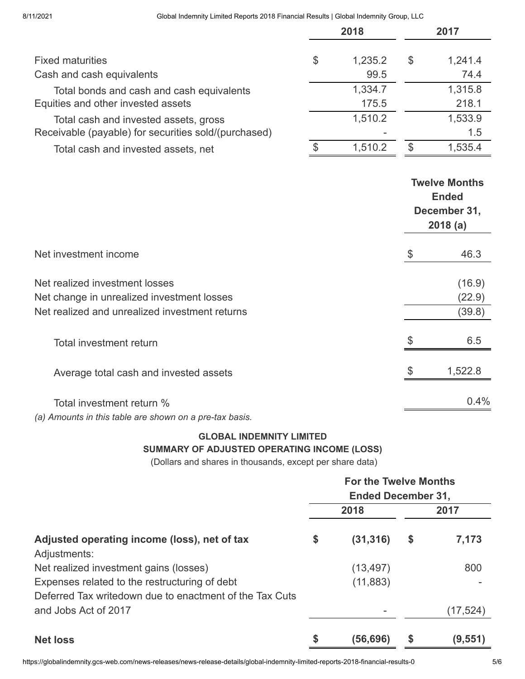#### 8/11/2021 Global Indemnity Limited Reports 2018 Financial Results | Global Indemnity Group, LLC

|                                                      |    | 2018    | 2017 |         |  |
|------------------------------------------------------|----|---------|------|---------|--|
| <b>Fixed maturities</b>                              | \$ | 1,235.2 | \$   | 1,241.4 |  |
| Cash and cash equivalents                            |    | 99.5    |      | 74.4    |  |
| Total bonds and cash and cash equivalents            |    | 1,334.7 |      | 1,315.8 |  |
| Equities and other invested assets                   |    | 175.5   |      | 218.1   |  |
| Total cash and invested assets, gross                |    | 1,510.2 |      | 1,533.9 |  |
| Receivable (payable) for securities sold/(purchased) |    |         |      | 1.5     |  |
| Total cash and invested assets, net                  | \$ | 1,510.2 | \$   | 1,535.4 |  |

|                                                         | <b>Twelve Months</b><br><b>Ended</b><br>December 31,<br>2018(a) |
|---------------------------------------------------------|-----------------------------------------------------------------|
| Net investment income                                   | \$<br>46.3                                                      |
| Net realized investment losses                          | (16.9)                                                          |
| Net change in unrealized investment losses              | (22.9)                                                          |
| Net realized and unrealized investment returns          | (39.8)                                                          |
| <b>Total investment return</b>                          | 6.5                                                             |
| Average total cash and invested assets                  | 1,522.8                                                         |
| Total investment return %                               | $0.4\%$                                                         |
| (a) Amounts in this table are shown on a pre-tax basis. |                                                                 |

## **GLOBAL INDEMNITY LIMITED SUMMARY OF ADJUSTED OPERATING INCOME (LOSS)**

(Dollars and shares in thousands, except per share data)

|                                                                                                          | <b>For the Twelve Months</b><br><b>Ended December 31,</b> |           |      |           |  |
|----------------------------------------------------------------------------------------------------------|-----------------------------------------------------------|-----------|------|-----------|--|
|                                                                                                          |                                                           | 2018      | 2017 |           |  |
| Adjusted operating income (loss), net of tax<br>Adjustments:                                             | \$                                                        | (31, 316) | \$   | 7,173     |  |
| Net realized investment gains (losses)                                                                   |                                                           | (13, 497) |      | 800       |  |
| Expenses related to the restructuring of debt<br>Deferred Tax writedown due to enactment of the Tax Cuts |                                                           | (11, 883) |      |           |  |
| and Jobs Act of 2017                                                                                     |                                                           |           |      | (17, 524) |  |
| <b>Net loss</b>                                                                                          | \$                                                        | (56,696)  |      | (9,551)   |  |